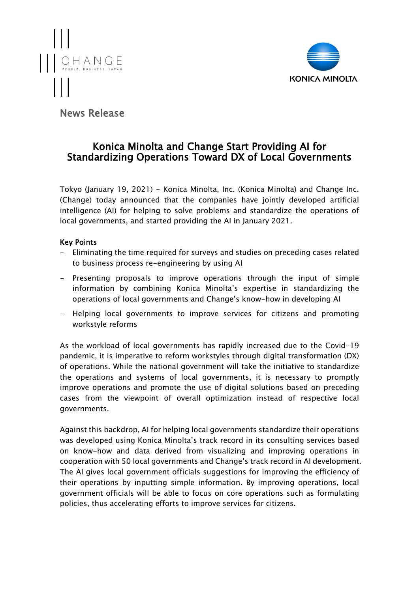



# News Release

# Konica Minolta and Change Start Providing AI for Standardizing Operations Toward DX of Local Governments

Tokyo (January 19, 2021) - Konica Minolta, Inc. (Konica Minolta) and Change Inc. (Change) today announced that the companies have jointly developed artificial intelligence (AI) for helping to solve problems and standardize the operations of local governments, and started providing the AI in January 2021.

## Key Points

- Eliminating the time required for surveys and studies on preceding cases related to business process re-engineering by using AI
- Presenting proposals to improve operations through the input of simple information by combining Konica Minolta's expertise in standardizing the operations of local governments and Change's know-how in developing AI
- Helping local governments to improve services for citizens and promoting workstyle reforms

As the workload of local governments has rapidly increased due to the Covid-19 pandemic, it is imperative to reform workstyles through digital transformation (DX) of operations. While the national government will take the initiative to standardize the operations and systems of local governments, it is necessary to promptly improve operations and promote the use of digital solutions based on preceding cases from the viewpoint of overall optimization instead of respective local governments.

Against this backdrop, AI for helping local governments standardize their operations was developed using Konica Minolta's track record in its consulting services based on know-how and data derived from visualizing and improving operations in cooperation with 50 local governments and Change's track record in AI development. The AI gives local government officials suggestions for improving the efficiency of their operations by inputting simple information. By improving operations, local government officials will be able to focus on core operations such as formulating policies, thus accelerating efforts to improve services for citizens.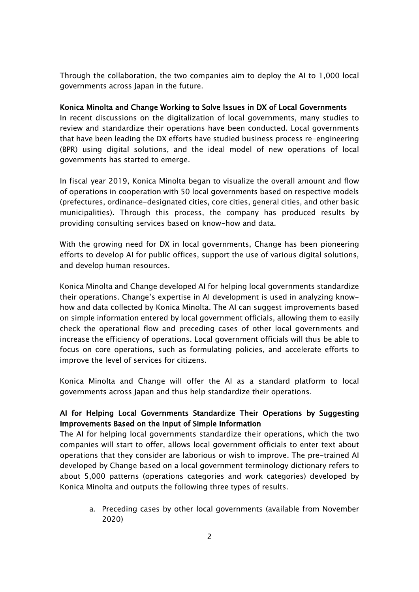Through the collaboration, the two companies aim to deploy the AI to 1,000 local governments across Japan in the future.

### Konica Minolta and Change Working to Solve Issues in DX of Local Governments

In recent discussions on the digitalization of local governments, many studies to review and standardize their operations have been conducted. Local governments that have been leading the DX efforts have studied business process re-engineering (BPR) using digital solutions, and the ideal model of new operations of local governments has started to emerge.

In fiscal year 2019, Konica Minolta began to visualize the overall amount and flow of operations in cooperation with 50 local governments based on respective models (prefectures, ordinance-designated cities, core cities, general cities, and other basic municipalities). Through this process, the company has produced results by providing consulting services based on know-how and data.

With the growing need for DX in local governments, Change has been pioneering efforts to develop AI for public offices, support the use of various digital solutions, and develop human resources.

Konica Minolta and Change developed AI for helping local governments standardize their operations. Change's expertise in AI development is used in analyzing knowhow and data collected by Konica Minolta. The AI can suggest improvements based on simple information entered by local government officials, allowing them to easily check the operational flow and preceding cases of other local governments and increase the efficiency of operations. Local government officials will thus be able to focus on core operations, such as formulating policies, and accelerate efforts to improve the level of services for citizens.

Konica Minolta and Change will offer the AI as a standard platform to local governments across Japan and thus help standardize their operations.

## AI for Helping Local Governments Standardize Their Operations by Suggesting Improvements Based on the Input of Simple Information

The AI for helping local governments standardize their operations, which the two companies will start to offer, allows local government officials to enter text about operations that they consider are laborious or wish to improve. The pre-trained AI developed by Change based on a local government terminology dictionary refers to about 5,000 patterns (operations categories and work categories) developed by Konica Minolta and outputs the following three types of results.

a. Preceding cases by other local governments (available from November 2020)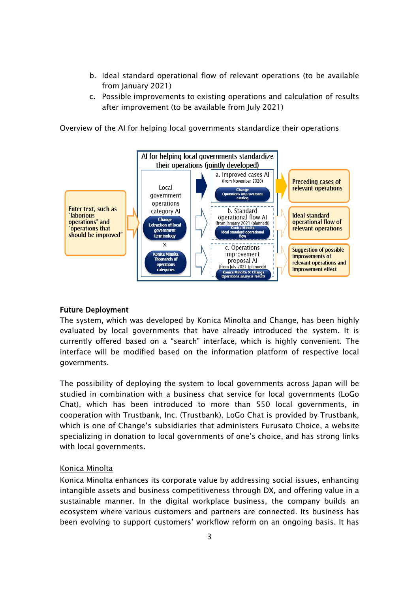- b. Ideal standard operational flow of relevant operations (to be available from January 2021)
- c. Possible improvements to existing operations and calculation of results after improvement (to be available from July 2021)





## Future Deployment

The system, which was developed by Konica Minolta and Change, has been highly evaluated by local governments that have already introduced the system. It is currently offered based on a "search" interface, which is highly convenient. The interface will be modified based on the information platform of respective local governments.

The possibility of deploying the system to local governments across Japan will be studied in combination with a business chat service for local governments (LoGo Chat), which has been introduced to more than 550 local governments, in cooperation with Trustbank, Inc. (Trustbank). LoGo Chat is provided by Trustbank, which is one of Change's subsidiaries that administers Furusato Choice, a website specializing in donation to local governments of one's choice, and has strong links with local governments.

## Konica Minolta

Konica Minolta enhances its corporate value by addressing social issues, enhancing intangible assets and business competitiveness through DX, and offering value in a sustainable manner. In the digital workplace business, the company builds an ecosystem where various customers and partners are connected. Its business has been evolving to support customers' workflow reform on an ongoing basis. It has